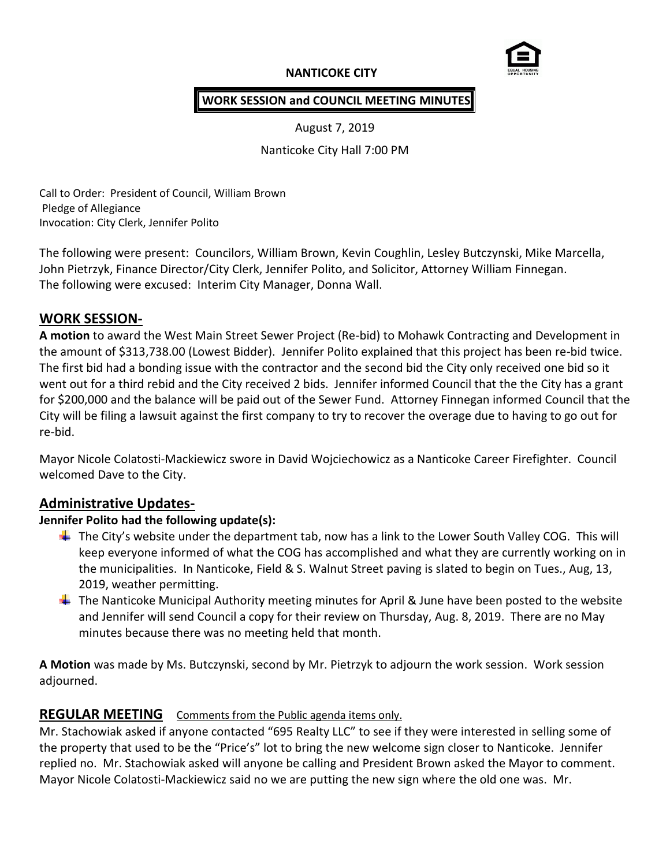# **NANTICOKE CITY**



## **WORK SESSION and COUNCIL MEETING MINUTES**

August 7, 2019

Nanticoke City Hall 7:00 PM

Call to Order: President of Council, William Brown Pledge of Allegiance Invocation: City Clerk, Jennifer Polito

The following were present: Councilors, William Brown, Kevin Coughlin, Lesley Butczynski, Mike Marcella, John Pietrzyk, Finance Director/City Clerk, Jennifer Polito, and Solicitor, Attorney William Finnegan. The following were excused: Interim City Manager, Donna Wall.

## **WORK SESSION-**

**A motion** to award the West Main Street Sewer Project (Re-bid) to Mohawk Contracting and Development in the amount of \$313,738.00 (Lowest Bidder). Jennifer Polito explained that this project has been re-bid twice. The first bid had a bonding issue with the contractor and the second bid the City only received one bid so it went out for a third rebid and the City received 2 bids. Jennifer informed Council that the the City has a grant for \$200,000 and the balance will be paid out of the Sewer Fund. Attorney Finnegan informed Council that the City will be filing a lawsuit against the first company to try to recover the overage due to having to go out for re-bid.

Mayor Nicole Colatosti-Mackiewicz swore in David Wojciechowicz as a Nanticoke Career Firefighter. Council welcomed Dave to the City.

## **Administrative Updates-**

## **Jennifer Polito had the following update(s):**

- $\ddot{\phantom{1}}$  The City's website under the department tab, now has a link to the Lower South Valley COG. This will keep everyone informed of what the COG has accomplished and what they are currently working on in the municipalities. In Nanticoke, Field & S. Walnut Street paving is slated to begin on Tues., Aug, 13, 2019, weather permitting.
- $\ddot{+}$  The Nanticoke Municipal Authority meeting minutes for April & June have been posted to the website and Jennifer will send Council a copy for their review on Thursday, Aug. 8, 2019. There are no May minutes because there was no meeting held that month.

**A Motion** was made by Ms. Butczynski, second by Mr. Pietrzyk to adjourn the work session. Work session adjourned.

## **REGULAR MEETING** Comments from the Public agenda items only.

Mr. Stachowiak asked if anyone contacted "695 Realty LLC" to see if they were interested in selling some of the property that used to be the "Price's" lot to bring the new welcome sign closer to Nanticoke. Jennifer replied no. Mr. Stachowiak asked will anyone be calling and President Brown asked the Mayor to comment. Mayor Nicole Colatosti-Mackiewicz said no we are putting the new sign where the old one was. Mr.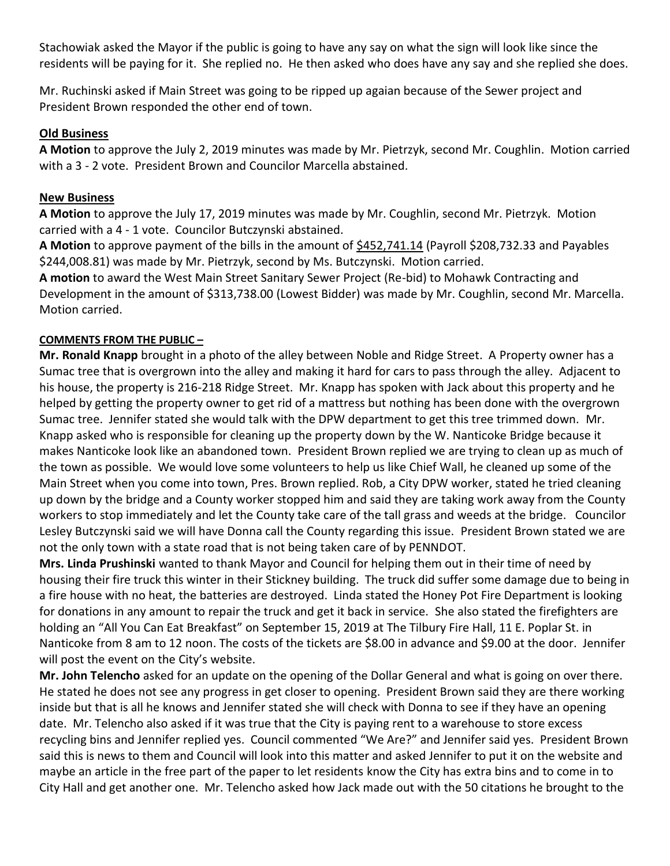Stachowiak asked the Mayor if the public is going to have any say on what the sign will look like since the residents will be paying for it. She replied no. He then asked who does have any say and she replied she does.

Mr. Ruchinski asked if Main Street was going to be ripped up agaian because of the Sewer project and President Brown responded the other end of town.

#### **Old Business**

**A Motion** to approve the July 2, 2019 minutes was made by Mr. Pietrzyk, second Mr. Coughlin. Motion carried with a 3 - 2 vote. President Brown and Councilor Marcella abstained.

## **New Business**

**A Motion** to approve the July 17, 2019 minutes was made by Mr. Coughlin, second Mr. Pietrzyk. Motion carried with a 4 - 1 vote. Councilor Butczynski abstained.

**A Motion** to approve payment of the bills in the amount of \$452,741.14 (Payroll \$208,732.33 and Payables \$244,008.81) was made by Mr. Pietrzyk, second by Ms. Butczynski. Motion carried.

**A motion** to award the West Main Street Sanitary Sewer Project (Re-bid) to Mohawk Contracting and Development in the amount of \$313,738.00 (Lowest Bidder) was made by Mr. Coughlin, second Mr. Marcella. Motion carried.

## **COMMENTS FROM THE PUBLIC –**

**Mr. Ronald Knapp** brought in a photo of the alley between Noble and Ridge Street. A Property owner has a Sumac tree that is overgrown into the alley and making it hard for cars to pass through the alley. Adjacent to his house, the property is 216-218 Ridge Street. Mr. Knapp has spoken with Jack about this property and he helped by getting the property owner to get rid of a mattress but nothing has been done with the overgrown Sumac tree. Jennifer stated she would talk with the DPW department to get this tree trimmed down. Mr. Knapp asked who is responsible for cleaning up the property down by the W. Nanticoke Bridge because it makes Nanticoke look like an abandoned town. President Brown replied we are trying to clean up as much of the town as possible. We would love some volunteers to help us like Chief Wall, he cleaned up some of the Main Street when you come into town, Pres. Brown replied. Rob, a City DPW worker, stated he tried cleaning up down by the bridge and a County worker stopped him and said they are taking work away from the County workers to stop immediately and let the County take care of the tall grass and weeds at the bridge. Councilor Lesley Butczynski said we will have Donna call the County regarding this issue. President Brown stated we are not the only town with a state road that is not being taken care of by PENNDOT.

**Mrs. Linda Prushinski** wanted to thank Mayor and Council for helping them out in their time of need by housing their fire truck this winter in their Stickney building. The truck did suffer some damage due to being in a fire house with no heat, the batteries are destroyed. Linda stated the Honey Pot Fire Department is looking for donations in any amount to repair the truck and get it back in service. She also stated the firefighters are holding an "All You Can Eat Breakfast" on September 15, 2019 at The Tilbury Fire Hall, 11 E. Poplar St. in Nanticoke from 8 am to 12 noon. The costs of the tickets are \$8.00 in advance and \$9.00 at the door. Jennifer will post the event on the City's website.

**Mr. John Telencho** asked for an update on the opening of the Dollar General and what is going on over there. He stated he does not see any progress in get closer to opening. President Brown said they are there working inside but that is all he knows and Jennifer stated she will check with Donna to see if they have an opening date. Mr. Telencho also asked if it was true that the City is paying rent to a warehouse to store excess recycling bins and Jennifer replied yes. Council commented "We Are?" and Jennifer said yes. President Brown said this is news to them and Council will look into this matter and asked Jennifer to put it on the website and maybe an article in the free part of the paper to let residents know the City has extra bins and to come in to City Hall and get another one. Mr. Telencho asked how Jack made out with the 50 citations he brought to the